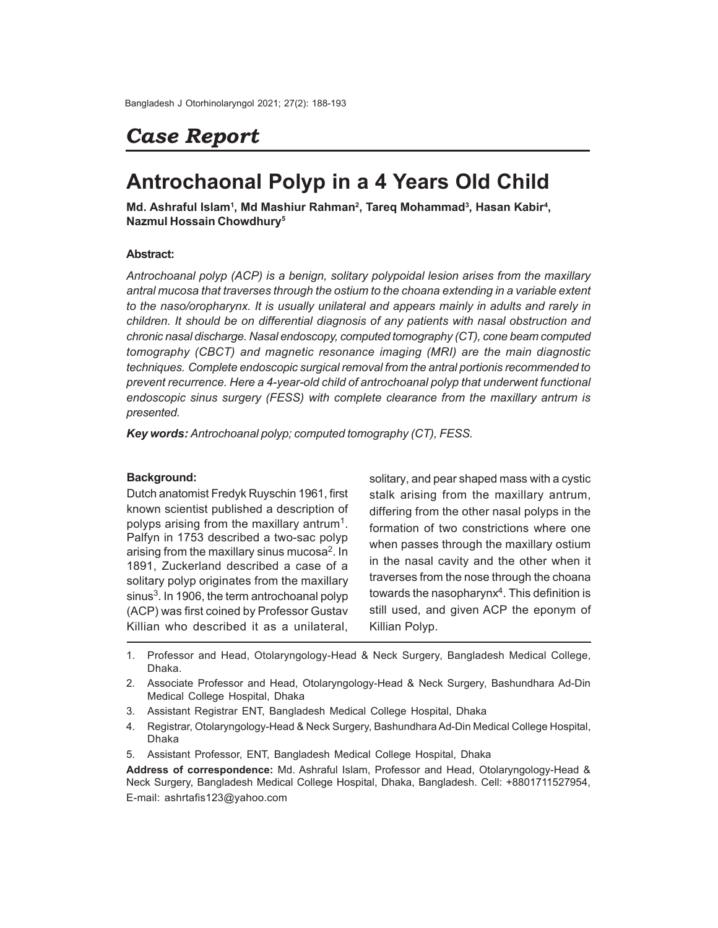# *Case Report*

## **Antrochaonal Polyp in a 4 Years Old Child**

Md. Ashraful Islam<sup>1</sup>, Md Mashiur Rahman<sup>2</sup>, Tareq Mohammad<sup>3</sup>, Hasan Kabir<sup>4</sup>, **Nazmul Hossain Chowdhury<sup>5</sup>**

## **Abstract:**

*Antrochoanal polyp (ACP) is a benign, solitary polypoidal lesion arises from the maxillary antral mucosa that traverses through the ostium to the choana extending in a variable extent to the naso/oropharynx. It is usually unilateral and appears mainly in adults and rarely in children. It should be on differential diagnosis of any patients with nasal obstruction and chronic nasal discharge. Nasal endoscopy, computed tomography (CT), cone beam computed tomography (CBCT) and magnetic resonance imaging (MRI) are the main diagnostic techniques. Complete endoscopic surgical removal from the antral portionis recommended to prevent recurrence. Here a 4-year-old child of antrochoanal polyp that underwent functional endoscopic sinus surgery (FESS) with complete clearance from the maxillary antrum is presented.*

*Key words: Antrochoanal polyp; computed tomography (CT), FESS.*

## **Background:**

Dutch anatomist Fredyk Ruyschin 1961, first known scientist published a description of polyps arising from the maxillary antrum<sup>1</sup>. Palfyn in 1753 described a two-sac polyp arising from the maxillary sinus mucosa<sup>2</sup>. In 1891, Zuckerland described a case of a solitary polyp originates from the maxillary sinus<sup>3</sup>. In 1906, the term antrochoanal polyp (ACP) was first coined by Professor Gustav Killian who described it as a unilateral,

solitary, and pear shaped mass with a cystic stalk arising from the maxillary antrum, differing from the other nasal polyps in the formation of two constrictions where one when passes through the maxillary ostium in the nasal cavity and the other when it traverses from the nose through the choana towards the nasopharynx $\rm ^4$ . This definition is still used, and given ACP the eponym of Killian Polyp.

- 1. Professor and Head, Otolaryngology-Head & Neck Surgery, Bangladesh Medical College, Dhaka.
- 2. Associate Professor and Head, Otolaryngology-Head & Neck Surgery, Bashundhara Ad-Din Medical College Hospital, Dhaka
- 3. Assistant Registrar ENT, Bangladesh Medical College Hospital, Dhaka
- 4. Registrar, Otolaryngology-Head & Neck Surgery, Bashundhara Ad-Din Medical College Hospital, Dhaka
- 5. Assistant Professor, ENT, Bangladesh Medical College Hospital, Dhaka

**Address of correspondence:** Md. Ashraful Islam, Professor and Head, Otolaryngology-Head & Neck Surgery, Bangladesh Medical College Hospital, Dhaka, Bangladesh. Cell: +8801711527954, E-mail: ashrtafis123@yahoo.com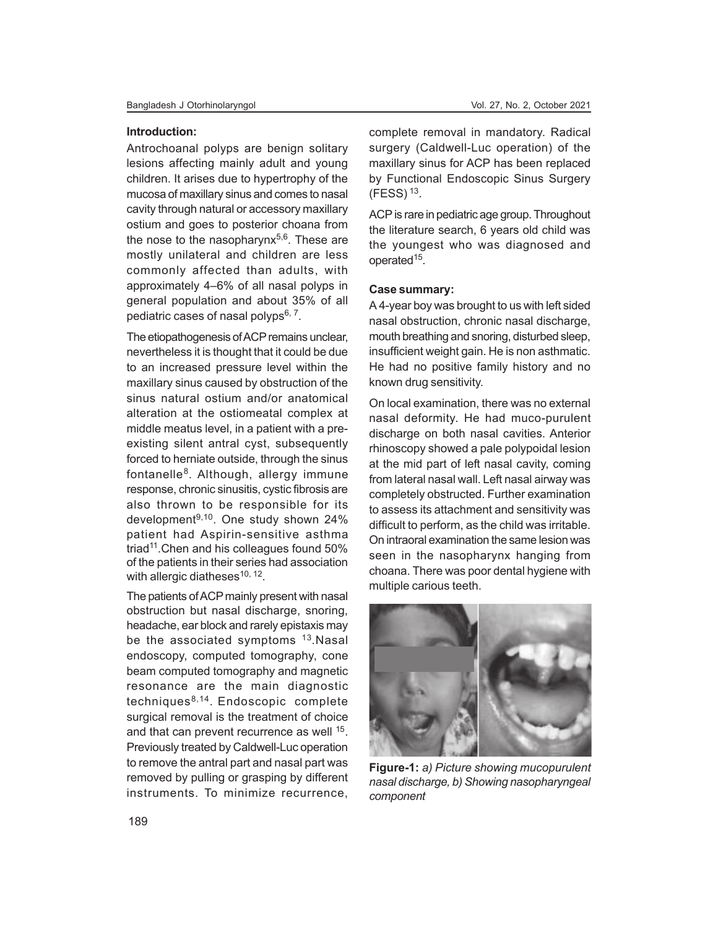#### **Introduction:**

Antrochoanal polyps are benign solitary lesions affecting mainly adult and young children. It arises due to hypertrophy of the mucosa of maxillary sinus and comes to nasal cavity through natural or accessory maxillary ostium and goes to posterior choana from the nose to the nasopharynx<sup>5,6</sup>. These are mostly unilateral and children are less commonly affected than adults, with approximately 4–6% of all nasal polyps in general population and about 35% of all pediatric cases of nasal polyps<sup>6, 7</sup>.

The etiopathogenesis of ACP remains unclear, nevertheless it is thought that it could be due to an increased pressure level within the maxillary sinus caused by obstruction of the sinus natural ostium and/or anatomical alteration at the ostiomeatal complex at middle meatus level, in a patient with a preexisting silent antral cyst, subsequently forced to herniate outside, through the sinus fontanelle<sup>8</sup>. Although, allergy immune response, chronic sinusitis, cystic fibrosis are also thrown to be responsible for its development 9,10. One study shown 24% patient had Aspirin-sensitive asthma triad<sup>11</sup>. Chen and his colleagues found 50% of the patients in their series had association with allergic diatheses<sup>10, 12</sup>.

The patients of ACP mainly present with nasal obstruction but nasal discharge, snoring, headache, ear block and rarely epistaxis may be the associated symptoms <sup>13</sup>.Nasal endoscopy, computed tomography, cone beam computed tomography and magnetic resonance are the main diagnostic techniques<sup>8,14</sup>. Endoscopic complete surgical removal is the treatment of choice and that can prevent recurrence as well <sup>15</sup>. Previously treated by Caldwell-Luc operation to remove the antral part and nasal part was removed by pulling or grasping by different instruments. To minimize recurrence,

complete removal in mandatory. Radical surgery (Caldwell-Luc operation) of the maxillary sinus for ACP has been replaced by Functional Endoscopic Sinus Surgery  $(FESS)$ <sup>13</sup>.

ACP is rare in pediatric age group. Throughout the literature search, 6 years old child was the youngest who was diagnosed and operated<sup>15</sup>.

## **Case summary:**

A 4-year boy was brought to us with left sided nasal obstruction, chronic nasal discharge, mouth breathing and snoring, disturbed sleep, insufficient weight gain. He is non asthmatic. He had no positive family history and no known drug sensitivity.

On local examination, there was no external nasal deformity. He had muco-purulent discharge on both nasal cavities. Anterior rhinoscopy showed a pale polypoidal lesion at the mid part of left nasal cavity, coming from lateral nasal wall. Left nasal airway was completely obstructed. Further examination to assess its attachment and sensitivity was difficult to perform, as the child was irritable. On intraoral examination the same lesion was seen in the nasopharynx hanging from choana. There was poor dental hygiene with multiple carious teeth.



**Figure-1:** *a) Picture showing mucopurulent nasal discharge, b) Showing nasopharyngeal component*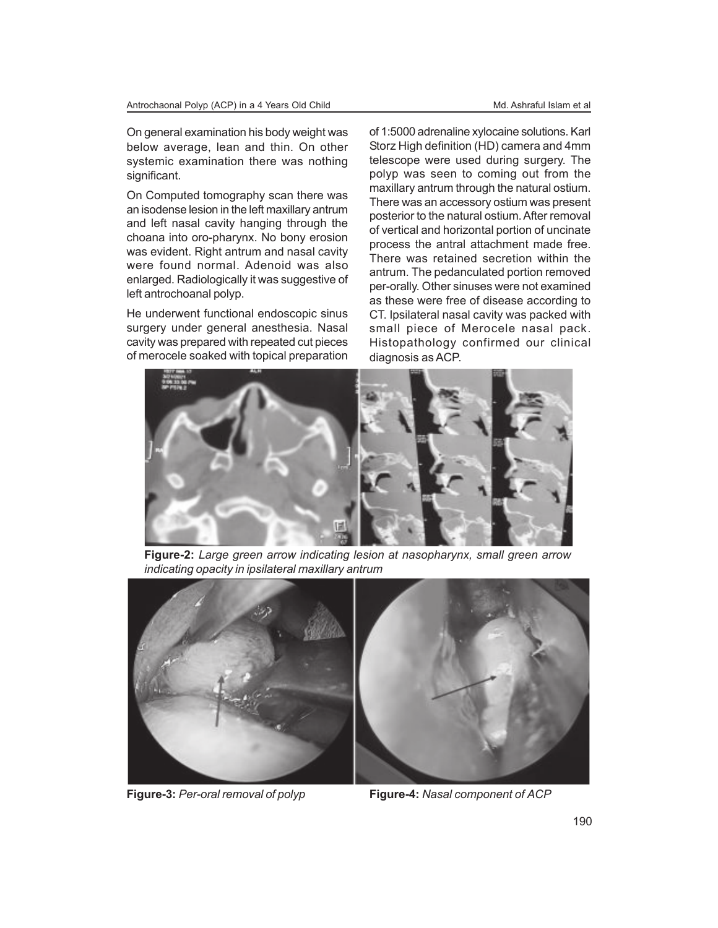On general examination his body weight was below average, lean and thin. On other systemic examination there was nothing significant.

On Computed tomography scan there was an isodense lesion in the left maxillary antrum and left nasal cavity hanging through the choana into oro-pharynx. No bony erosion was evident. Right antrum and nasal cavity were found normal. Adenoid was also enlarged. Radiologically it was suggestive of left antrochoanal polyp.

He underwent functional endoscopic sinus surgery under general anesthesia. Nasal cavity was prepared with repeated cut pieces of merocele soaked with topical preparation of 1:5000 adrenaline xylocaine solutions. Karl Storz High definition (HD) camera and 4mm telescope were used during surgery. The polyp was seen to coming out from the maxillary antrum through the natural ostium. There was an accessory ostium was present posterior to the natural ostium. After removal of vertical and horizontal portion of uncinate process the antral attachment made free. There was retained secretion within the antrum. The pedanculated portion removed per-orally. Other sinuses were not examined as these were free of disease according to CT. Ipsilateral nasal cavity was packed with small piece of Merocele nasal pack. Histopathology confirmed our clinical diagnosis as ACP.



**Figure-2:** *Large green arrow indicating lesion at nasopharynx, small green arrow indicating opacity in ipsilateral maxillary antrum*





**Figure-3:** *Per-oral removal of polyp* **Figure-4:** *Nasal component of ACP*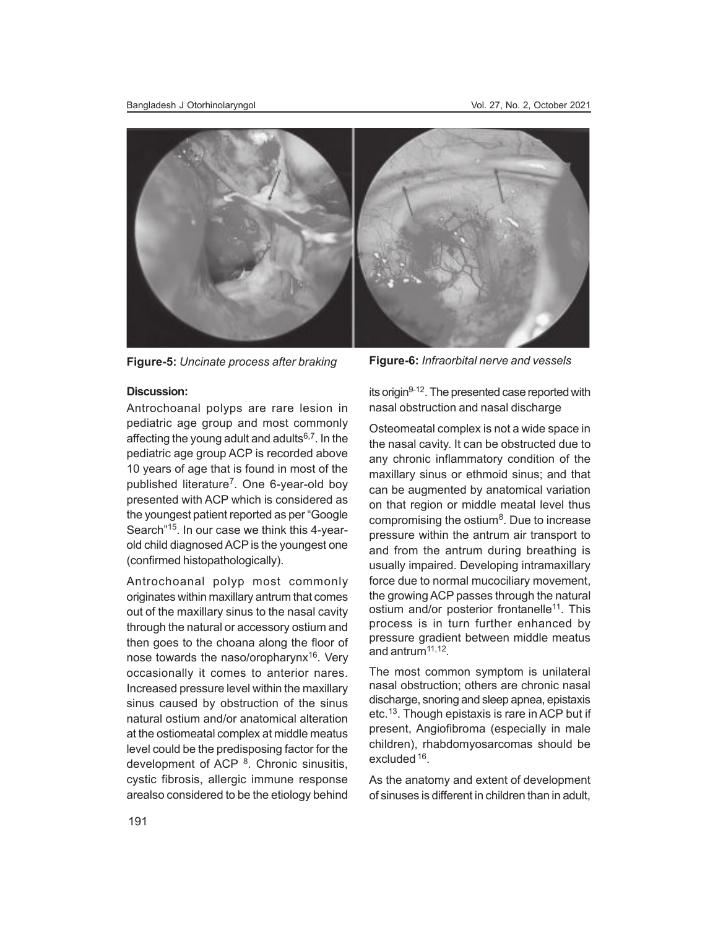

**Figure-5:** *Uncinate process after braking* **Figure-6:** *Infraorbital nerve and vessels*

### **Discussion:**

Antrochoanal polyps are rare lesion in pediatric age group and most commonly affecting the young adult and adults $6,7$ . In the pediatric age group ACP is recorded above 10 years of age that is found in most of the published literature<sup>7</sup> . One 6-year-old boy presented with ACP which is considered as the youngest patient reported as per "Google Search"<sup>15</sup>. In our case we think this 4-yearold child diagnosed ACP is the youngest one (confirmed histopathologically).

Antrochoanal polyp most commonly originates within maxillary antrum that comes out of the maxillary sinus to the nasal cavity through the natural or accessory ostium and then goes to the choana along the floor of nose towards the naso/oropharynx<sup>16</sup>. Very occasionally it comes to anterior nares. Increased pressure level within the maxillary sinus caused by obstruction of the sinus natural ostium and/or anatomical alteration at the ostiomeatal complex at middle meatus level could be the predisposing factor for the development of ACP <sup>8</sup>. Chronic sinusitis, cystic fibrosis, allergic immune response arealso considered to be the etiology behind

its origin9-12. The presented case reported with nasal obstruction and nasal discharge

Osteomeatal complex is not a wide space in the nasal cavity. It can be obstructed due to any chronic inflammatory condition of the maxillary sinus or ethmoid sinus; and that can be augmented by anatomical variation on that region or middle meatal level thus compromising the ostium<sup>8</sup>. Due to increase pressure within the antrum air transport to and from the antrum during breathing is usually impaired. Developing intramaxillary force due to normal mucociliary movement, the growing ACP passes through the natural ostium and/or posterior frontanelle<sup>11</sup>. This process is in turn further enhanced by pressure gradient between middle meatus and antrum11,12 .

The most common symptom is unilateral nasal obstruction; others are chronic nasal discharge, snoring and sleep apnea, epistaxis etc.<sup>13</sup> . Though epistaxis is rare in ACP but if present, Angiofibroma (especially in male children), rhabdomyosarcomas should be excluded <sup>16</sup>.

As the anatomy and extent of development of sinuses is different in children than in adult,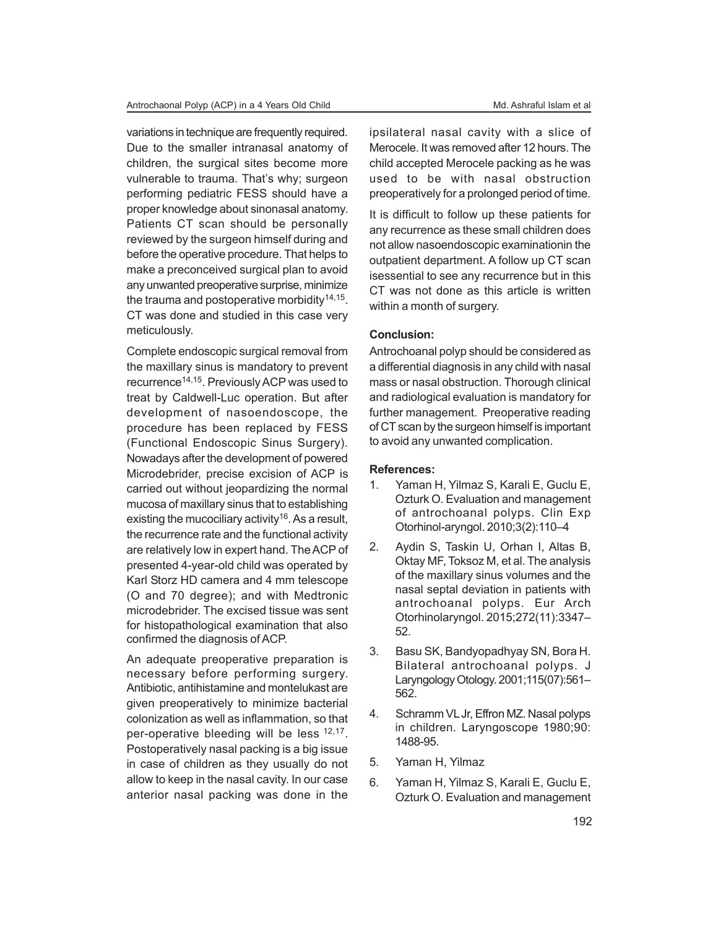variations in technique are frequently required. Due to the smaller intranasal anatomy of children, the surgical sites become more vulnerable to trauma. That's why; surgeon performing pediatric FESS should have a proper knowledge about sinonasal anatomy. Patients CT scan should be personally reviewed by the surgeon himself during and before the operative procedure. That helps to make a preconceived surgical plan to avoid any unwanted preoperative surprise, minimize the trauma and postoperative morbidity $^{14,15}$ . CT was done and studied in this case very meticulously.

Complete endoscopic surgical removal from the maxillary sinus is mandatory to prevent recurrence<sup>14,15</sup>. Previously ACP was used to treat by Caldwell-Luc operation. But after development of nasoendoscope, the procedure has been replaced by FESS (Functional Endoscopic Sinus Surgery). Nowadays after the development of powered Microdebrider, precise excision of ACP is carried out without jeopardizing the normal mucosa of maxillary sinus that to establishing existing the mucociliary activity<sup>16</sup>. As a result, the recurrence rate and the functional activity are relatively low in expert hand. The ACP of presented 4-year-old child was operated by Karl Storz HD camera and 4 mm telescope (O and 70 degree); and with Medtronic microdebrider. The excised tissue was sent for histopathological examination that also confirmed the diagnosis of ACP.

An adequate preoperative preparation is necessary before performing surgery. Antibiotic, antihistamine and montelukast are given preoperatively to minimize bacterial colonization as well as inflammation, so that per-operative bleeding will be less <sup>12,17</sup>. Postoperatively nasal packing is a big issue in case of children as they usually do not allow to keep in the nasal cavity. In our case anterior nasal packing was done in the ipsilateral nasal cavity with a slice of Merocele. It was removed after 12 hours. The child accepted Merocele packing as he was used to be with nasal obstruction preoperatively for a prolonged period of time.

It is difficult to follow up these patients for any recurrence as these small children does not allow nasoendoscopic examinationin the outpatient department. A follow up CT scan isessential to see any recurrence but in this CT was not done as this article is written within a month of surgery.

## **Conclusion:**

Antrochoanal polyp should be considered as a differential diagnosis in any child with nasal mass or nasal obstruction. Thorough clinical and radiological evaluation is mandatory for further management. Preoperative reading of CT scan by the surgeon himself is important to avoid any unwanted complication.

#### **References:**

- 1. Yaman H, Yilmaz S, Karali E, Guclu E, Ozturk O. Evaluation and management of antrochoanal polyps. Clin Exp Otorhinol-aryngol. 2010;3(2):110–4
- 2. Aydin S, Taskin U, Orhan I, Altas B, Oktay MF, Toksoz M, et al. The analysis of the maxillary sinus volumes and the nasal septal deviation in patients with antrochoanal polyps. Eur Arch Otorhinolaryngol. 2015;272(11):3347– 52.
- 3. Basu SK, Bandyopadhyay SN, Bora H. Bilateral antrochoanal polyps. J Laryngology Otology. 2001;115(07):561– 562.
- 4. Schramm VL Jr, Effron MZ. Nasal polyps in children. Laryngoscope 1980;90: 1488-95.
- 5. Yaman H, Yilmaz
- 6. Yaman H, Yilmaz S, Karali E, Guclu E, Ozturk O. Evaluation and management